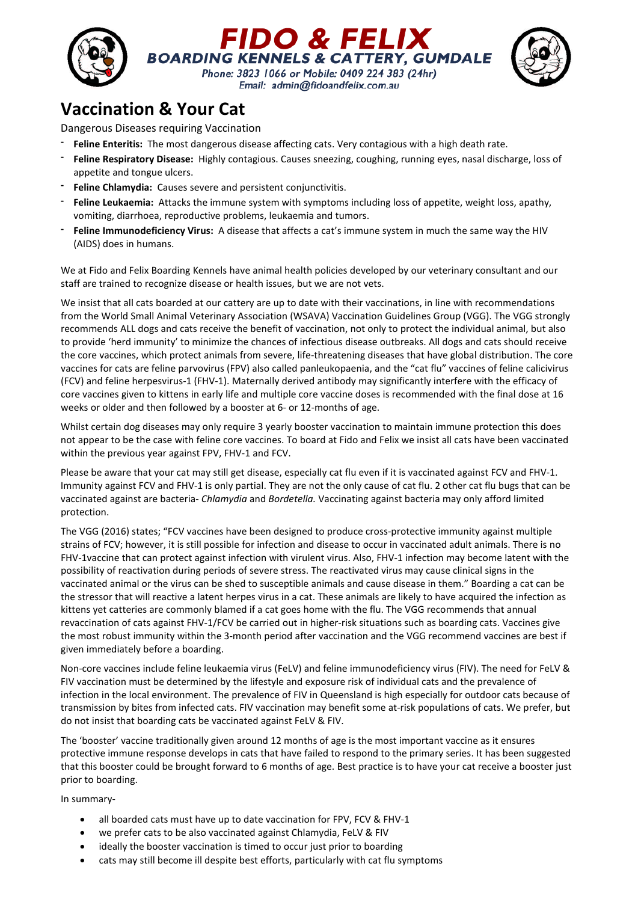





## **Vaccination & Your Cat**

Dangerous Diseases requiring Vaccination

- **- Feline Enteritis:** The most dangerous disease affecting cats. Very contagious with a high death rate.
- **- Feline Respiratory Disease:** Highly contagious. Causes sneezing, coughing, running eyes, nasal discharge, loss of appetite and tongue ulcers.
- **- Feline Chlamydia:** Causes severe and persistent conjunctivitis.
- **- Feline Leukaemia:** Attacks the immune system with symptoms including loss of appetite, weight loss, apathy, vomiting, diarrhoea, reproductive problems, leukaemia and tumors.
- **- Feline Immunodeficiency Virus:** A disease that affects a cat's immune system in much the same way the HIV (AIDS) does in humans.

We at Fido and Felix Boarding Kennels have animal health policies developed by our veterinary consultant and our staff are trained to recognize disease or health issues, but we are not vets.

We insist that all cats boarded at our cattery are up to date with their vaccinations, in line with recommendations from the World Small Animal Veterinary Association (WSAVA) Vaccination Guidelines Group (VGG). The VGG strongly recommends ALL dogs and cats receive the benefit of vaccination, not only to protect the individual animal, but also to provide 'herd immunity' to minimize the chances of infectious disease outbreaks. All dogs and cats should receive the core vaccines, which protect animals from severe, life-threatening diseases that have global distribution. The core vaccines for cats are feline parvovirus (FPV) also called panleukopaenia, and the "cat flu" vaccines of feline calicivirus (FCV) and feline herpesvirus-1 (FHV-1). Maternally derived antibody may significantly interfere with the efficacy of core vaccines given to kittens in early life and multiple core vaccine doses is recommended with the final dose at 16 weeks or older and then followed by a booster at 6- or 12-months of age.

Whilst certain dog diseases may only require 3 yearly booster vaccination to maintain immune protection this does not appear to be the case with feline core vaccines. To board at Fido and Felix we insist all cats have been vaccinated within the previous year against FPV, FHV-1 and FCV.

Please be aware that your cat may still get disease, especially cat flu even if it is vaccinated against FCV and FHV-1. Immunity against FCV and FHV-1 is only partial. They are not the only cause of cat flu. 2 other cat flu bugs that can be vaccinated against are bacteria- *Chlamydia* and *Bordetella.* Vaccinating against bacteria may only afford limited protection.

The VGG (2016) states; "FCV vaccines have been designed to produce cross-protective immunity against multiple strains of FCV; however, it is still possible for infection and disease to occur in vaccinated adult animals. There is no FHV-1vaccine that can protect against infection with virulent virus. Also, FHV-1 infection may become latent with the possibility of reactivation during periods of severe stress. The reactivated virus may cause clinical signs in the vaccinated animal or the virus can be shed to susceptible animals and cause disease in them." Boarding a cat can be the stressor that will reactive a latent herpes virus in a cat. These animals are likely to have acquired the infection as kittens yet catteries are commonly blamed if a cat goes home with the flu. The VGG recommends that annual revaccination of cats against FHV-1/FCV be carried out in higher-risk situations such as boarding cats. Vaccines give the most robust immunity within the 3-month period after vaccination and the VGG recommend vaccines are best if given immediately before a boarding.

Non-core vaccines include feline leukaemia virus (FeLV) and feline immunodeficiency virus (FIV). The need for FeLV & FIV vaccination must be determined by the lifestyle and exposure risk of individual cats and the prevalence of infection in the local environment. The prevalence of FIV in Queensland is high especially for outdoor cats because of transmission by bites from infected cats. FIV vaccination may benefit some at-risk populations of cats. We prefer, but do not insist that boarding cats be vaccinated against FeLV & FIV.

The 'booster' vaccine traditionally given around 12 months of age is the most important vaccine as it ensures protective immune response develops in cats that have failed to respond to the primary series. It has been suggested that this booster could be brought forward to 6 months of age. Best practice is to have your cat receive a booster just prior to boarding.

In summary-

- all boarded cats must have up to date vaccination for FPV, FCV & FHV-1
- we prefer cats to be also vaccinated against Chlamydia, FeLV & FIV
- ideally the booster vaccination is timed to occur just prior to boarding
- cats may still become ill despite best efforts, particularly with cat flu symptoms